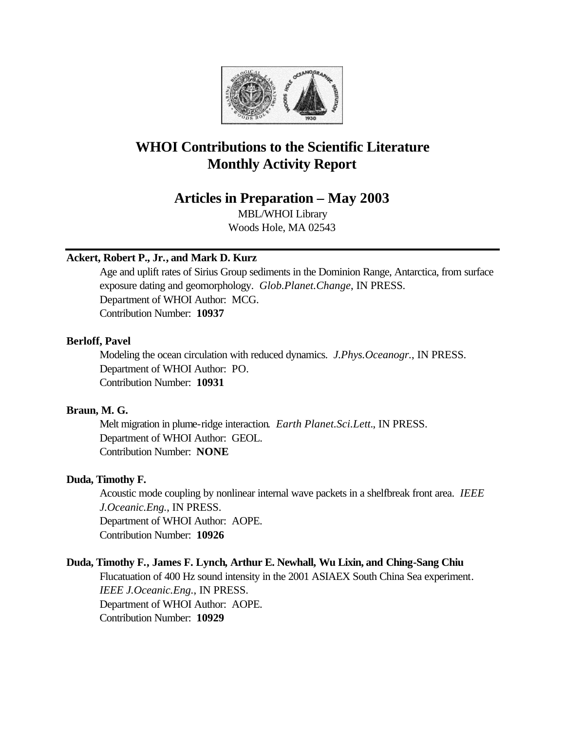

# **WHOI Contributions to the Scientific Literature Monthly Activity Report**

# **Articles in Preparation – May 2003**

MBL/WHOI Library Woods Hole, MA 02543

# **Ackert, Robert P., Jr., and Mark D. Kurz**

Age and uplift rates of Sirius Group sediments in the Dominion Range, Antarctica, from surface exposure dating and geomorphology. *Glob.Planet.Change*, IN PRESS. Department of WHOI Author: MCG. Contribution Number: **10937**

## **Berloff, Pavel**

Modeling the ocean circulation with reduced dynamics. *J.Phys.Oceanogr.*, IN PRESS. Department of WHOI Author: PO. Contribution Number: **10931**

# **Braun, M. G.**

Melt migration in plume-ridge interaction. *Earth Planet.Sci.Lett.*, IN PRESS. Department of WHOI Author: GEOL. Contribution Number: **NONE**

# **Duda, Timothy F.**

Acoustic mode coupling by nonlinear internal wave packets in a shelfbreak front area. *IEEE J.Oceanic.Eng.*, IN PRESS. Department of WHOI Author: AOPE. Contribution Number: **10926**

# **Duda, Timothy F., James F. Lynch, Arthur E. Newhall, Wu Lixin, and Ching-Sang Chiu**

Flucatuation of 400 Hz sound intensity in the 2001 ASIAEX South China Sea experiment. *IEEE J.Oceanic.Eng.*, IN PRESS. Department of WHOI Author: AOPE. Contribution Number: **10929**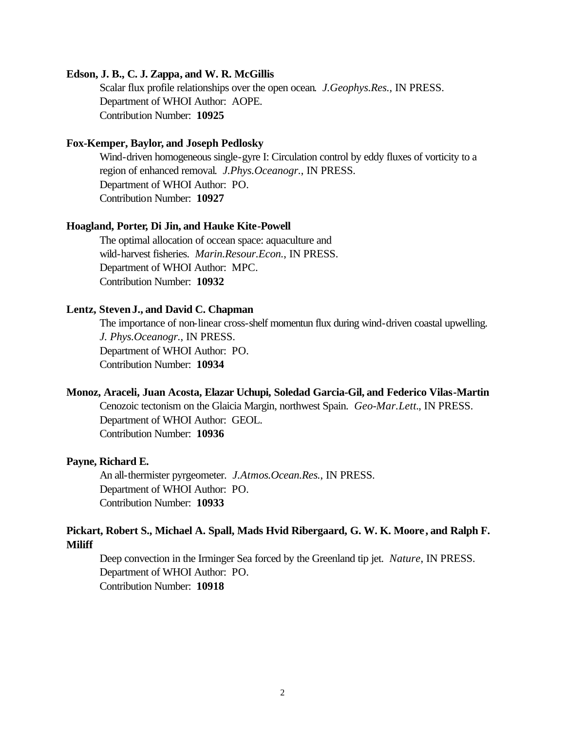#### **Edson, J. B., C. J. Zappa, and W. R. McGillis**

Scalar flux profile relationships over the open ocean. *J.Geophys.Res.*, IN PRESS. Department of WHOI Author: AOPE. Contribution Number: **10925**

#### **Fox-Kemper, Baylor, and Joseph Pedlosky**

Wind-driven homogeneous single-gyre I: Circulation control by eddy fluxes of vorticity to a region of enhanced removal. *J.Phys.Oceanogr.*, IN PRESS. Department of WHOI Author: PO. Contribution Number: **10927**

#### **Hoagland, Porter, Di Jin, and Hauke Kite-Powell**

The optimal allocation of occean space: aquaculture and wild-harvest fisheries. *Marin.Resour.Econ.*, IN PRESS. Department of WHOI Author: MPC. Contribution Number: **10932**

#### **Lentz, Steven J., and David C. Chapman**

The importance of non-linear cross-shelf momentun flux during wind-driven coastal upwelling. *J. Phys.Oceanogr.*, IN PRESS. Department of WHOI Author: PO. Contribution Number: **10934**

#### **Monoz, Araceli, Juan Acosta, Elazar Uchupi, Soledad Garcia-Gil, and Federico Vilas-Martin**

Cenozoic tectonism on the Glaicia Margin, northwest Spain. *Geo-Mar.Lett.*, IN PRESS. Department of WHOI Author: GEOL. Contribution Number: **10936**

#### **Payne, Richard E.**

An all-thermister pyrgeometer. *J.Atmos.Ocean.Res.*, IN PRESS. Department of WHOI Author: PO. Contribution Number: **10933**

# **Pickart, Robert S., Michael A. Spall, Mads Hvid Ribergaard, G. W. K. Moore, and Ralph F. Miliff**

Deep convection in the Irminger Sea forced by the Greenland tip jet. *Nature*, IN PRESS. Department of WHOI Author: PO. Contribution Number: **10918**